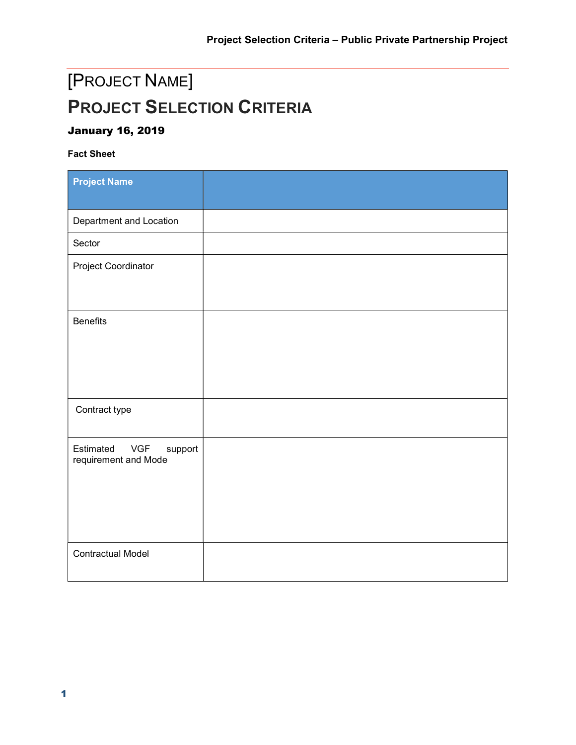# [PROJECT NAME] PROJECT SELECTION CRITERIA

### January 16, 2019

#### Fact Sheet

| <b>Project Name</b>                                        |  |
|------------------------------------------------------------|--|
| Department and Location                                    |  |
| Sector                                                     |  |
| Project Coordinator                                        |  |
| <b>Benefits</b>                                            |  |
| Contract type                                              |  |
| Estimated<br><b>VGF</b><br>support<br>requirement and Mode |  |
| <b>Contractual Model</b>                                   |  |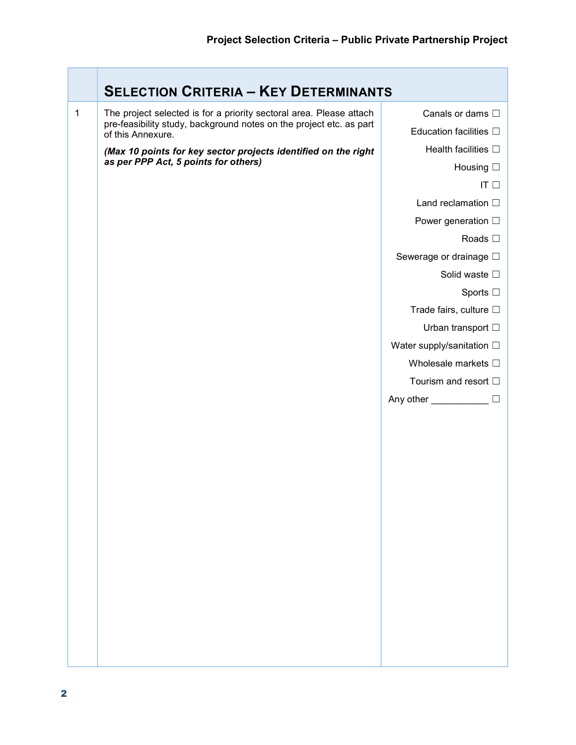|   | <b>SELECTION CRITERIA - KEY DETERMINANTS</b>                                                                                                                    |                                 |
|---|-----------------------------------------------------------------------------------------------------------------------------------------------------------------|---------------------------------|
| 1 | The project selected is for a priority sectoral area. Please attach<br>pre-feasibility study, background notes on the project etc. as part<br>of this Annexure. | Canals or dams $\square$        |
|   |                                                                                                                                                                 | Education facilities $\Box$     |
|   | (Max 10 points for key sector projects identified on the right                                                                                                  | Health facilities $\square$     |
|   | as per PPP Act, 5 points for others)                                                                                                                            | Housing $\square$               |
|   |                                                                                                                                                                 | IT $\square$                    |
|   |                                                                                                                                                                 | Land reclamation $\square$      |
|   |                                                                                                                                                                 | Power generation □              |
|   |                                                                                                                                                                 | Roads $\square$                 |
|   |                                                                                                                                                                 | Sewerage or drainage □          |
|   |                                                                                                                                                                 | Solid waste $\square$           |
|   |                                                                                                                                                                 | Sports $\square$                |
|   |                                                                                                                                                                 | Trade fairs, culture □          |
|   |                                                                                                                                                                 | Urban transport $\square$       |
|   |                                                                                                                                                                 | Water supply/sanitation □       |
|   |                                                                                                                                                                 | Wholesale markets □             |
|   |                                                                                                                                                                 | Tourism and resort □            |
|   |                                                                                                                                                                 | Any other ___________<br>$\Box$ |
|   |                                                                                                                                                                 |                                 |
|   |                                                                                                                                                                 |                                 |
|   |                                                                                                                                                                 |                                 |
|   |                                                                                                                                                                 |                                 |
|   |                                                                                                                                                                 |                                 |
|   |                                                                                                                                                                 |                                 |
|   |                                                                                                                                                                 |                                 |
|   |                                                                                                                                                                 |                                 |
|   |                                                                                                                                                                 |                                 |
|   |                                                                                                                                                                 |                                 |
|   |                                                                                                                                                                 |                                 |
|   |                                                                                                                                                                 |                                 |
|   |                                                                                                                                                                 |                                 |
|   |                                                                                                                                                                 |                                 |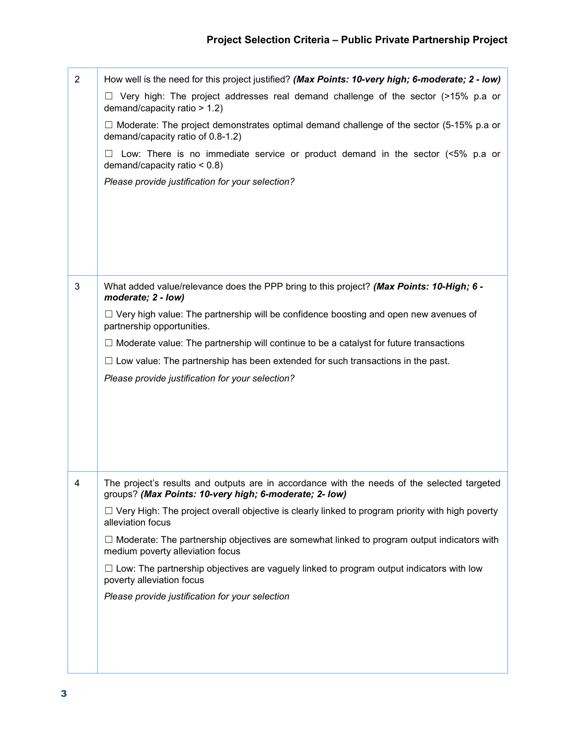| $\overline{2}$ | How well is the need for this project justified? (Max Points: 10-very high; 6-moderate; 2 - low)                                                      |  |
|----------------|-------------------------------------------------------------------------------------------------------------------------------------------------------|--|
|                | Very high: The project addresses real demand challenge of the sector (>15% p.a or<br>demand/capacity ratio > 1.2)                                     |  |
|                | $\Box$ Moderate: The project demonstrates optimal demand challenge of the sector (5-15% p.a or<br>demand/capacity ratio of 0.8-1.2)                   |  |
|                | Low: There is no immediate service or product demand in the sector $\leq 5\%$ p.a or<br>demand/capacity ratio $< 0.8$ )                               |  |
|                | Please provide justification for your selection?                                                                                                      |  |
|                |                                                                                                                                                       |  |
|                |                                                                                                                                                       |  |
|                |                                                                                                                                                       |  |
|                |                                                                                                                                                       |  |
| 3              | What added value/relevance does the PPP bring to this project? (Max Points: 10-High; 6 -<br>moderate; 2 - low)                                        |  |
|                | $\Box$ Very high value: The partnership will be confidence boosting and open new avenues of<br>partnership opportunities.                             |  |
|                | $\Box$ Moderate value: The partnership will continue to be a catalyst for future transactions                                                         |  |
|                | $\Box$ Low value: The partnership has been extended for such transactions in the past.                                                                |  |
|                | Please provide justification for your selection?                                                                                                      |  |
|                |                                                                                                                                                       |  |
|                |                                                                                                                                                       |  |
|                |                                                                                                                                                       |  |
|                |                                                                                                                                                       |  |
| 4              | The project's results and outputs are in accordance with the needs of the selected targeted<br>groups? (Max Points: 10-very high; 6-moderate; 2- low) |  |
|                | $\Box$ Very High: The project overall objective is clearly linked to program priority with high poverty<br>alleviation focus                          |  |
|                | $\Box$ Moderate: The partnership objectives are somewhat linked to program output indicators with<br>medium poverty alleviation focus                 |  |
|                | $\Box$ Low: The partnership objectives are vaguely linked to program output indicators with low<br>poverty alleviation focus                          |  |
|                | Please provide justification for your selection                                                                                                       |  |
|                |                                                                                                                                                       |  |
|                |                                                                                                                                                       |  |
|                |                                                                                                                                                       |  |
|                |                                                                                                                                                       |  |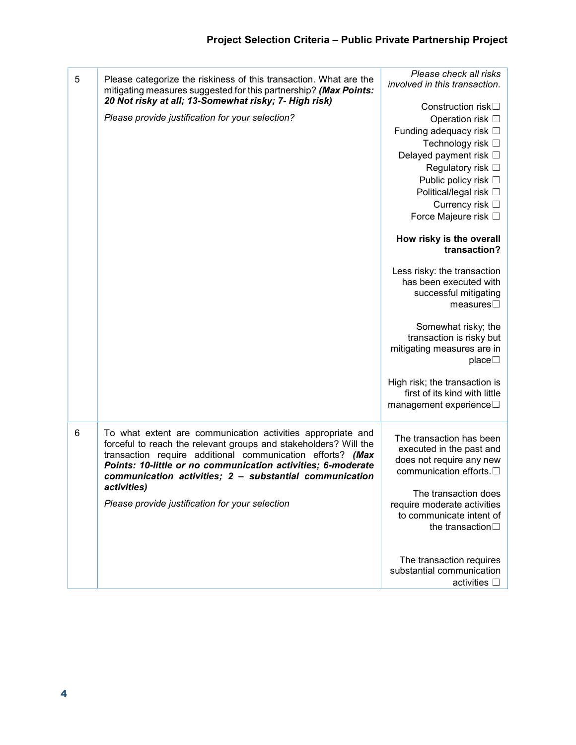|   |                                                                                                                                                                                                                                                                                                                                         | Please check all risks                                                                                                              |
|---|-----------------------------------------------------------------------------------------------------------------------------------------------------------------------------------------------------------------------------------------------------------------------------------------------------------------------------------------|-------------------------------------------------------------------------------------------------------------------------------------|
| 5 | Please categorize the riskiness of this transaction. What are the<br>mitigating measures suggested for this partnership? (Max Points:                                                                                                                                                                                                   | involved in this transaction.                                                                                                       |
|   | 20 Not risky at all; 13-Somewhat risky; 7- High risk)                                                                                                                                                                                                                                                                                   | Construction risk□                                                                                                                  |
|   | Please provide justification for your selection?                                                                                                                                                                                                                                                                                        | Operation risk □                                                                                                                    |
|   |                                                                                                                                                                                                                                                                                                                                         | Funding adequacy risk □                                                                                                             |
|   |                                                                                                                                                                                                                                                                                                                                         | Technology risk □                                                                                                                   |
|   |                                                                                                                                                                                                                                                                                                                                         | Delayed payment risk □                                                                                                              |
|   |                                                                                                                                                                                                                                                                                                                                         | Regulatory risk □                                                                                                                   |
|   |                                                                                                                                                                                                                                                                                                                                         | Public policy risk □                                                                                                                |
|   |                                                                                                                                                                                                                                                                                                                                         | Political/legal risk □                                                                                                              |
|   |                                                                                                                                                                                                                                                                                                                                         | Currency risk $\square$                                                                                                             |
|   |                                                                                                                                                                                                                                                                                                                                         | Force Majeure risk □                                                                                                                |
|   |                                                                                                                                                                                                                                                                                                                                         | How risky is the overall<br>transaction?                                                                                            |
|   |                                                                                                                                                                                                                                                                                                                                         | Less risky: the transaction<br>has been executed with<br>successful mitigating<br>measures $\square$                                |
|   |                                                                                                                                                                                                                                                                                                                                         | Somewhat risky; the<br>transaction is risky but<br>mitigating measures are in<br>place $\square$                                    |
|   |                                                                                                                                                                                                                                                                                                                                         | High risk; the transaction is<br>first of its kind with little<br>management experience□                                            |
| 6 | To what extent are communication activities appropriate and<br>forceful to reach the relevant groups and stakeholders? Will the<br>transaction require additional communication efforts? (Max<br>Points: 10-little or no communication activities; 6-moderate<br>communication activities; 2 - substantial communication<br>activities) | The transaction has been<br>executed in the past and<br>does not require any new<br>communication efforts.□<br>The transaction does |
|   | Please provide justification for your selection                                                                                                                                                                                                                                                                                         | require moderate activities<br>to communicate intent of<br>the transaction <sup>[]</sup>                                            |
|   |                                                                                                                                                                                                                                                                                                                                         | The transaction requires<br>substantial communication<br>activities $\square$                                                       |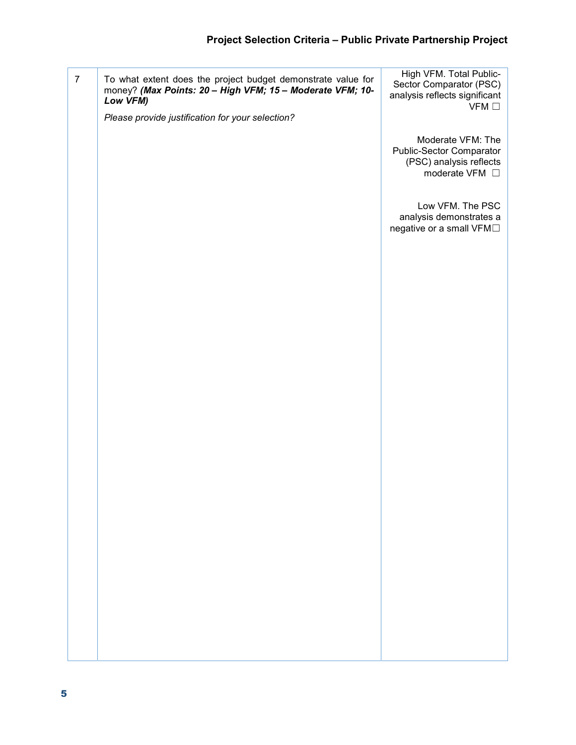7 To what extent does the project budget demonstrate value for money? (Max Points: 20 – High VFM; 15 – Moderate VFM; 10-Low VFM) Please provide justification for your selection? High VFM. Total Public-Sector Comparator (PSC) analysis reflects significant **VFM** □ Moderate VFM: The Public-Sector Comparator (PSC) analysis reflects moderate VFM  $\square$ Low VFM. The PSC analysis demonstrates a negative or a small VFM□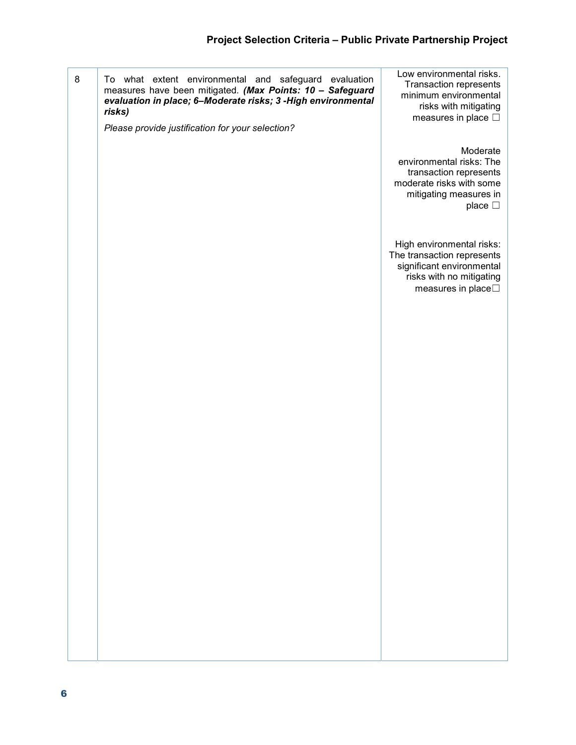| 8 | To what extent environmental and safeguard evaluation<br>measures have been mitigated. (Max Points: 10 - Safeguard<br>evaluation in place; 6-Moderate risks; 3-High environmental<br>risks)<br>Please provide justification for your selection? | Low environmental risks.<br><b>Transaction represents</b><br>minimum environmental<br>risks with mitigating<br>measures in place $\Box$         |
|---|-------------------------------------------------------------------------------------------------------------------------------------------------------------------------------------------------------------------------------------------------|-------------------------------------------------------------------------------------------------------------------------------------------------|
|   |                                                                                                                                                                                                                                                 | Moderate<br>environmental risks: The<br>transaction represents<br>moderate risks with some<br>mitigating measures in<br>place $\square$         |
|   |                                                                                                                                                                                                                                                 | High environmental risks:<br>The transaction represents<br>significant environmental<br>risks with no mitigating<br>measures in place $\square$ |
|   |                                                                                                                                                                                                                                                 |                                                                                                                                                 |
|   |                                                                                                                                                                                                                                                 |                                                                                                                                                 |
|   |                                                                                                                                                                                                                                                 |                                                                                                                                                 |
|   |                                                                                                                                                                                                                                                 |                                                                                                                                                 |
|   |                                                                                                                                                                                                                                                 |                                                                                                                                                 |